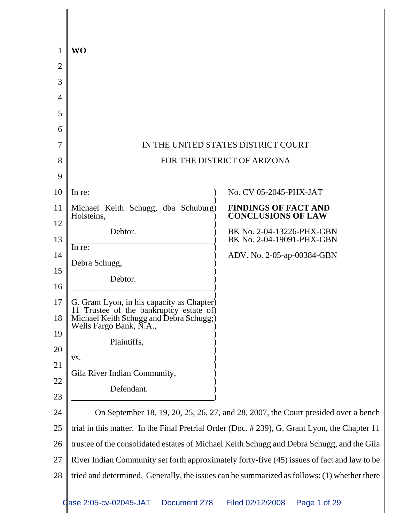|          | <b>WO</b>                                                                                                                                                   |                                                                                              |
|----------|-------------------------------------------------------------------------------------------------------------------------------------------------------------|----------------------------------------------------------------------------------------------|
| 2        |                                                                                                                                                             |                                                                                              |
| 3        |                                                                                                                                                             |                                                                                              |
| 4        |                                                                                                                                                             |                                                                                              |
| 5        |                                                                                                                                                             |                                                                                              |
| 6        |                                                                                                                                                             |                                                                                              |
| 7        |                                                                                                                                                             | IN THE UNITED STATES DISTRICT COURT                                                          |
| 8        |                                                                                                                                                             | FOR THE DISTRICT OF ARIZONA                                                                  |
| 9        |                                                                                                                                                             |                                                                                              |
| 10       | In re:                                                                                                                                                      | No. CV 05-2045-PHX-JAT                                                                       |
| 11       | Michael Keith Schugg, dba Schuburg)<br>Holsteins,                                                                                                           | <b>FINDINGS OF FACT AND</b><br><b>CONCLUSIONS OF LAW</b>                                     |
| 12<br>13 | Debtor.                                                                                                                                                     | BK No. 2-04-13226-PHX-GBN<br>BK No. 2-04-19091-PHX-GBN                                       |
| 14       | In re:                                                                                                                                                      | ADV. No. 2-05-ap-00384-GBN                                                                   |
| 15       | Debra Schugg,                                                                                                                                               |                                                                                              |
| 16       | Debtor.                                                                                                                                                     |                                                                                              |
| 17<br>18 | G. Grant Lyon, in his capacity as Chapter)<br>11 Trustee of the bankruptcy estate of)<br>Michael Keith Schugg and Debra Schugg;)<br>Wells Fargo Bank, N.A., |                                                                                              |
| 19       | Plaintiffs,                                                                                                                                                 |                                                                                              |
| 20       | VS.                                                                                                                                                         |                                                                                              |
| 21       | Gila River Indian Community,                                                                                                                                |                                                                                              |
| 22       | Defendant.                                                                                                                                                  |                                                                                              |
| 23<br>24 |                                                                                                                                                             | On September 18, 19, 20, 25, 26, 27, and 28, 2007, the Court presided over a bench           |
| 25       |                                                                                                                                                             | trial in this matter. In the Final Pretrial Order (Doc. #239), G. Grant Lyon, the Chapter 11 |
| 26       |                                                                                                                                                             | trustee of the consolidated estates of Michael Keith Schugg and Debra Schugg, and the Gila   |
| 27       |                                                                                                                                                             | River Indian Community set forth approximately forty-five (45) issues of fact and law to be  |
| 28       |                                                                                                                                                             | tried and determined. Generally, the issues can be summarized as follows: (1) whether there  |
|          |                                                                                                                                                             |                                                                                              |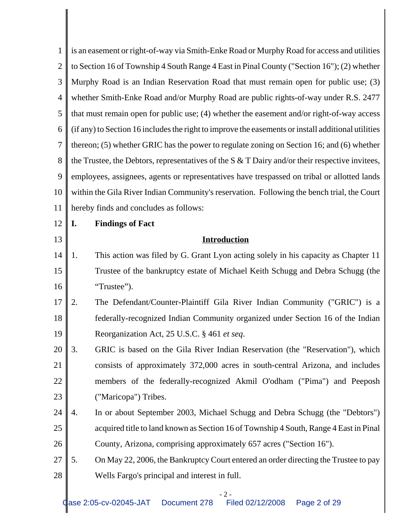| 1              | is an easement or right-of-way via Smith-Enke Road or Murphy Road for access and utilities         |
|----------------|----------------------------------------------------------------------------------------------------|
| $\overline{2}$ | to Section 16 of Township 4 South Range 4 East in Pinal County ("Section 16"); (2) whether         |
| 3              | Murphy Road is an Indian Reservation Road that must remain open for public use; (3)                |
| $\overline{4}$ | whether Smith-Enke Road and/or Murphy Road are public rights-of-way under R.S. 2477                |
| 5              | that must remain open for public use; (4) whether the easement and/or right-of-way access          |
| 6              | (if any) to Section 16 includes the right to improve the easements or install additional utilities |
| $\overline{7}$ | thereon; (5) whether GRIC has the power to regulate zoning on Section 16; and (6) whether          |
| 8              | the Trustee, the Debtors, representatives of the $S & T$ Dairy and/or their respective invitees,   |
| 9              | employees, assignees, agents or representatives have trespassed on tribal or allotted lands        |
| 10             | within the Gila River Indian Community's reservation. Following the bench trial, the Court         |
| 11             | hereby finds and concludes as follows:                                                             |
| 12             | I.<br><b>Findings of Fact</b>                                                                      |
| 13             | <b>Introduction</b>                                                                                |
| 14             | This action was filed by G. Grant Lyon acting solely in his capacity as Chapter 11<br>1.           |
| 15             | Trustee of the bankruptcy estate of Michael Keith Schugg and Debra Schugg (the                     |
| 16             | "Trustee").                                                                                        |
| 17             | The Defendant/Counter-Plaintiff Gila River Indian Community ("GRIC") is a<br>2.                    |
| 18             | federally-recognized Indian Community organized under Section 16 of the Indian                     |
| 19             | Reorganization Act, 25 U.S.C. § 461 et seq.                                                        |
| 20             | 3.<br>GRIC is based on the Gila River Indian Reservation (the "Reservation"), which                |
| 21             | consists of approximately 372,000 acres in south-central Arizona, and includes                     |
| 22             | members of the federally-recognized Akmil O'odham ("Pima") and Peeposh                             |
| 23             | ("Maricopa") Tribes.                                                                               |
| 24             | In or about September 2003, Michael Schugg and Debra Schugg (the "Debtors")<br>4.                  |
| 25             | acquired title to land known as Section 16 of Township 4 South, Range 4 East in Pinal              |
| 26             | County, Arizona, comprising approximately 657 acres ("Section 16").                                |
| 27             | 5.<br>On May 22, 2006, the Bankruptcy Court entered an order directing the Trustee to pay          |
| 28             | Wells Fargo's principal and interest in full.                                                      |

## - 2 -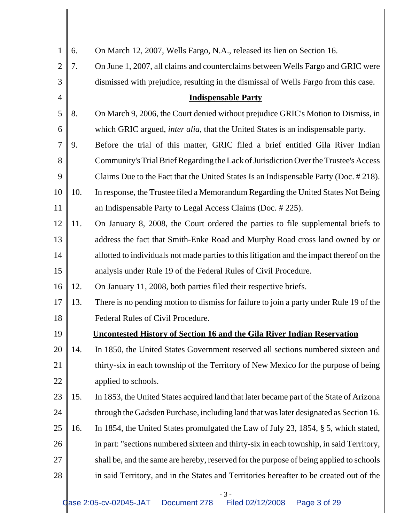| $\mathbf{1}$   | 6.  | On March 12, 2007, Wells Fargo, N.A., released its lien on Section 16.                    |
|----------------|-----|-------------------------------------------------------------------------------------------|
| $\overline{2}$ | 7.  | On June 1, 2007, all claims and counterclaims between Wells Fargo and GRIC were           |
| 3              |     | dismissed with prejudice, resulting in the dismissal of Wells Fargo from this case.       |
| $\overline{4}$ |     | <b>Indispensable Party</b>                                                                |
| 5              | 8.  | On March 9, 2006, the Court denied without prejudice GRIC's Motion to Dismiss, in         |
| 6              |     | which GRIC argued, inter alia, that the United States is an indispensable party.          |
| $\overline{7}$ | 9.  | Before the trial of this matter, GRIC filed a brief entitled Gila River Indian            |
| 8              |     | Community's Trial Brief Regarding the Lack of Jurisdiction Over the Trustee's Access      |
| 9              |     | Claims Due to the Fact that the United States Is an Indispensable Party (Doc. #218).      |
| 10             | 10. | In response, the Trustee filed a Memorandum Regarding the United States Not Being         |
| 11             |     | an Indispensable Party to Legal Access Claims (Doc. #225).                                |
| 12             | 11. | On January 8, 2008, the Court ordered the parties to file supplemental briefs to          |
| 13             |     | address the fact that Smith-Enke Road and Murphy Road cross land owned by or              |
| 14             |     | allotted to individuals not made parties to this litigation and the impact thereof on the |
| 15             |     | analysis under Rule 19 of the Federal Rules of Civil Procedure.                           |
| 16             | 12. | On January 11, 2008, both parties filed their respective briefs.                          |
| 17             | 13. | There is no pending motion to dismiss for failure to join a party under Rule 19 of the    |
| 18             |     | Federal Rules of Civil Procedure.                                                         |
| 19             |     | <b>Uncontested History of Section 16 and the Gila River Indian Reservation</b>            |
| 20             | 14. | In 1850, the United States Government reserved all sections numbered sixteen and          |
| 21             |     | thirty-six in each township of the Territory of New Mexico for the purpose of being       |
| 22             |     | applied to schools.                                                                       |
| 23             | 15. | In 1853, the United States acquired land that later became part of the State of Arizona   |
| 24             |     | through the Gadsden Purchase, including land that was later designated as Section 16.     |
| 25             | 16. | In 1854, the United States promulgated the Law of July 23, 1854, § 5, which stated,       |
| 26             |     | in part: "sections numbered sixteen and thirty-six in each township, in said Territory,   |
| 27             |     | shall be, and the same are hereby, reserved for the purpose of being applied to schools   |
| 28             |     | in said Territory, and in the States and Territories hereafter to be created out of the   |
|                |     | $-3-$                                                                                     |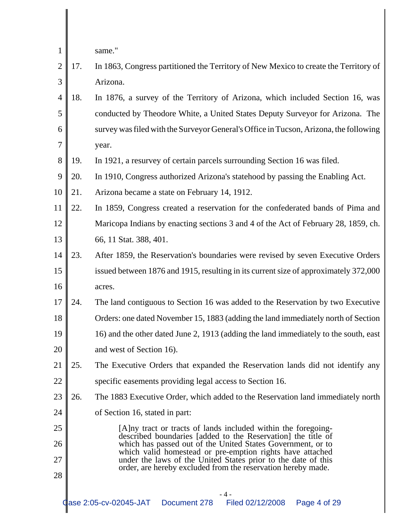same."

- 2 3 17. In 1863, Congress partitioned the Territory of New Mexico to create the Territory of Arizona.
- 4 5 6 7 18. In 1876, a survey of the Territory of Arizona, which included Section 16, was conducted by Theodore White, a United States Deputy Surveyor for Arizona. The survey was filed with the Surveyor General's Office in Tucson, Arizona, the following year.
- 8 19. In 1921, a resurvey of certain parcels surrounding Section 16 was filed.
- 9 20. In 1910, Congress authorized Arizona's statehood by passing the Enabling Act.
- 10 21. Arizona became a state on February 14, 1912.
- 11 12 13 22. In 1859, Congress created a reservation for the confederated bands of Pima and Maricopa Indians by enacting sections 3 and 4 of the Act of February 28, 1859, ch. 66, 11 Stat. 388, 401.
- 14 15 16 23. After 1859, the Reservation's boundaries were revised by seven Executive Orders issued between 1876 and 1915, resulting in its current size of approximately 372,000 acres.
- 17 18 19 20 24. The land contiguous to Section 16 was added to the Reservation by two Executive Orders: one dated November 15, 1883 (adding the land immediately north of Section 16) and the other dated June 2, 1913 (adding the land immediately to the south, east and west of Section 16).
- 21 22 25. The Executive Orders that expanded the Reservation lands did not identify any specific easements providing legal access to Section 16.
- 23 24 26. The 1883 Executive Order, which added to the Reservation land immediately north of Section 16, stated in part:
- 25 26 27 28 [A]ny tract or tracts of lands included within the foregoingdescribed boundaries [added to the Reservation] the title of which has passed out of the United States Government, or to which valid homestead or pre-emption rights have attached under the laws of the United States prior to the date of this order, are hereby excluded from the reservation hereby made.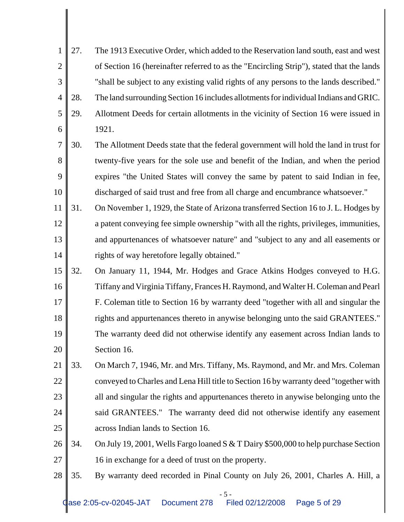| 1              | 27. | The 1913 Executive Order, which added to the Reservation land south, east and west       |
|----------------|-----|------------------------------------------------------------------------------------------|
| $\overline{2}$ |     | of Section 16 (hereinafter referred to as the "Encircling Strip"), stated that the lands |
| 3              |     | "shall be subject to any existing valid rights of any persons to the lands described."   |
| $\overline{4}$ | 28. | The land surrounding Section 16 includes allotments for individual Indians and GRIC.     |
| 5              | 29. | Allotment Deeds for certain allotments in the vicinity of Section 16 were issued in      |
| 6              |     | 1921.                                                                                    |
| $\overline{7}$ | 30. | The Allotment Deeds state that the federal government will hold the land in trust for    |
| 8              |     | twenty-five years for the sole use and benefit of the Indian, and when the period        |
| 9              |     | expires "the United States will convey the same by patent to said Indian in fee,         |
| 10             |     | discharged of said trust and free from all charge and encumbrance whatsoever."           |
| 11             | 31. | On November 1, 1929, the State of Arizona transferred Section 16 to J. L. Hodges by      |
| 12             |     | a patent conveying fee simple ownership "with all the rights, privileges, immunities,    |
| 13             |     | and appurtenances of whatsoever nature" and "subject to any and all easements or         |
| 14             |     | rights of way heretofore legally obtained."                                              |
| 15             | 32. | On January 11, 1944, Mr. Hodges and Grace Atkins Hodges conveyed to H.G.                 |
| 16             |     | Tiffany and Virginia Tiffany, Frances H. Raymond, and Walter H. Coleman and Pearl        |
| 17             |     | F. Coleman title to Section 16 by warranty deed "together with all and singular the      |
| 18             |     | rights and appurtenances thereto in anywise belonging unto the said GRANTEES."           |
| 19             |     | The warranty deed did not otherwise identify any easement across Indian lands to         |
| 20             |     | Section 16.                                                                              |
| 21             | 33. | On March 7, 1946, Mr. and Mrs. Tiffany, Ms. Raymond, and Mr. and Mrs. Coleman            |
| <u>22</u>      |     | conveyed to Charles and Lena Hill title to Section 16 by warranty deed "together with    |
| 23             |     | all and singular the rights and appurtenances thereto in anywise belonging unto the      |
| 24             |     | said GRANTEES." The warranty deed did not otherwise identify any easement                |
| 25             |     | across Indian lands to Section 16.                                                       |
| 26             | 34. | On July 19, 2001, Wells Fargo loaned S & T Dairy \$500,000 to help purchase Section      |
| 27             |     | 16 in exchange for a deed of trust on the property.                                      |
| 28             | 35. | By warranty deed recorded in Pinal County on July 26, 2001, Charles A. Hill, a           |
|                |     |                                                                                          |

- 5 -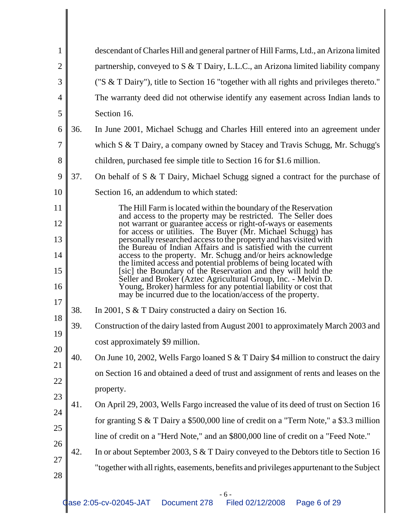| 1              |     | descendant of Charles Hill and general partner of Hill Farms, Ltd., an Arizona limited                                                                                                                                                                               |
|----------------|-----|----------------------------------------------------------------------------------------------------------------------------------------------------------------------------------------------------------------------------------------------------------------------|
| $\overline{2}$ |     | partnership, conveyed to S & T Dairy, L.L.C., an Arizona limited liability company                                                                                                                                                                                   |
| 3              |     | ("S & T Dairy"), title to Section 16 "together with all rights and privileges thereto."                                                                                                                                                                              |
| $\overline{4}$ |     | The warranty deed did not otherwise identify any easement across Indian lands to                                                                                                                                                                                     |
| 5              |     | Section 16.                                                                                                                                                                                                                                                          |
| 6              | 36. | In June 2001, Michael Schugg and Charles Hill entered into an agreement under                                                                                                                                                                                        |
| 7              |     | which $S \& T$ Dairy, a company owned by Stacey and Travis Schugg, Mr. Schugg's                                                                                                                                                                                      |
| 8              |     | children, purchased fee simple title to Section 16 for \$1.6 million.                                                                                                                                                                                                |
| 9              | 37. | On behalf of S & T Dairy, Michael Schugg signed a contract for the purchase of                                                                                                                                                                                       |
| 10             |     | Section 16, an addendum to which stated:                                                                                                                                                                                                                             |
| 11             |     | The Hill Farm is located within the boundary of the Reservation                                                                                                                                                                                                      |
| 12             |     | and access to the property may be restricted. The Seller does<br>not warrant or guarantee access or right-of-ways or easements                                                                                                                                       |
| 13             |     | for access or utilities. The Buyer (Mr. Michael Schugg) has<br>personally researched access to the property and has visited with<br>the Bureau of Indian Affairs and is satisfied with the current                                                                   |
| 14             |     | access to the property. Mr. Schugg and/or heirs acknowledge                                                                                                                                                                                                          |
| 15<br>16       |     | the limited access and potential problems of being located with<br>[sic] the Boundary of the Reservation and they will hold the<br>Seller and Broker (Aztec Agricultural Group, Inc. - Melvin D.<br>Young, Broker) harmless for any potential liability or cost that |
| 17             |     | may be incurred due to the location/access of the property.                                                                                                                                                                                                          |
| 18             | 38. | In 2001, S & T Dairy constructed a dairy on Section 16.                                                                                                                                                                                                              |
|                | 39. | Construction of the dairy lasted from August 2001 to approximately March 2003 and                                                                                                                                                                                    |
| 20             |     | cost approximately \$9 million.                                                                                                                                                                                                                                      |
|                | 40. | On June 10, 2002, Wells Fargo loaned S & T Dairy \$4 million to construct the dairy                                                                                                                                                                                  |
|                |     | on Section 16 and obtained a deed of trust and assignment of rents and leases on the                                                                                                                                                                                 |
|                |     | property.                                                                                                                                                                                                                                                            |
|                | 41. | On April 29, 2003, Wells Fargo increased the value of its deed of trust on Section 16                                                                                                                                                                                |
|                |     | for granting $S & T$ Dairy a \$500,000 line of credit on a "Term Note," a \$3.3 million                                                                                                                                                                              |
| 26             |     | line of credit on a "Herd Note," and an \$800,000 line of credit on a "Feed Note."                                                                                                                                                                                   |
|                | 42. | In or about September 2003, S & T Dairy conveyed to the Debtors title to Section 16                                                                                                                                                                                  |
|                |     | "together with all rights, easements, benefits and privileges appurtenant to the Subject                                                                                                                                                                             |
| 28             |     |                                                                                                                                                                                                                                                                      |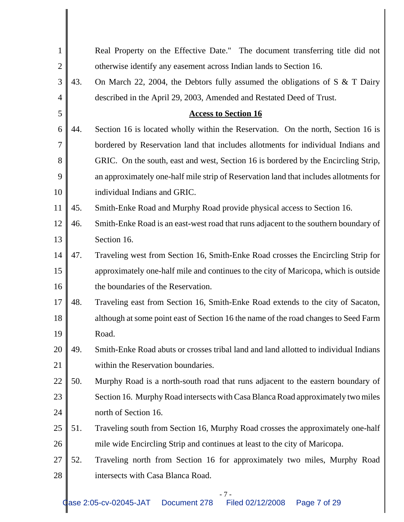| $\mathbf{1}$   |     | Real Property on the Effective Date." The document transferring title did not         |
|----------------|-----|---------------------------------------------------------------------------------------|
| $\overline{2}$ |     | otherwise identify any easement across Indian lands to Section 16.                    |
| 3              | 43. | On March 22, 2004, the Debtors fully assumed the obligations of S $\&$ T Dairy        |
| $\overline{4}$ |     | described in the April 29, 2003, Amended and Restated Deed of Trust.                  |
| 5              |     | <b>Access to Section 16</b>                                                           |
| 6              | 44. | Section 16 is located wholly within the Reservation. On the north, Section 16 is      |
| 7              |     | bordered by Reservation land that includes allotments for individual Indians and      |
| 8              |     | GRIC. On the south, east and west, Section 16 is bordered by the Encircling Strip,    |
| 9              |     | an approximately one-half mile strip of Reservation land that includes allotments for |
| 10             |     | individual Indians and GRIC.                                                          |
| 11             | 45. | Smith-Enke Road and Murphy Road provide physical access to Section 16.                |
| 12             | 46. | Smith-Enke Road is an east-west road that runs adjacent to the southern boundary of   |
| 13             |     | Section 16.                                                                           |
| 14             | 47. | Traveling west from Section 16, Smith-Enke Road crosses the Encircling Strip for      |
| 15             |     | approximately one-half mile and continues to the city of Maricopa, which is outside   |
| 16             |     | the boundaries of the Reservation.                                                    |
| 17             | 48. | Traveling east from Section 16, Smith-Enke Road extends to the city of Sacaton,       |
| 18             |     | although at some point east of Section 16 the name of the road changes to Seed Farm   |
| 19             |     | Road.                                                                                 |
| 20             | 49. | Smith-Enke Road abuts or crosses tribal land and land allotted to individual Indians  |
| 21             |     | within the Reservation boundaries.                                                    |
| 22             | 50. | Murphy Road is a north-south road that runs adjacent to the eastern boundary of       |
| 23             |     | Section 16. Murphy Road intersects with Casa Blanca Road approximately two miles      |
| 24             |     | north of Section 16.                                                                  |
| 25             | 51. | Traveling south from Section 16, Murphy Road crosses the approximately one-half       |
| 26             |     | mile wide Encircling Strip and continues at least to the city of Maricopa.            |
| 27             | 52. | Traveling north from Section 16 for approximately two miles, Murphy Road              |
| 28             |     | intersects with Casa Blanca Road.                                                     |
|                |     |                                                                                       |

- 7 -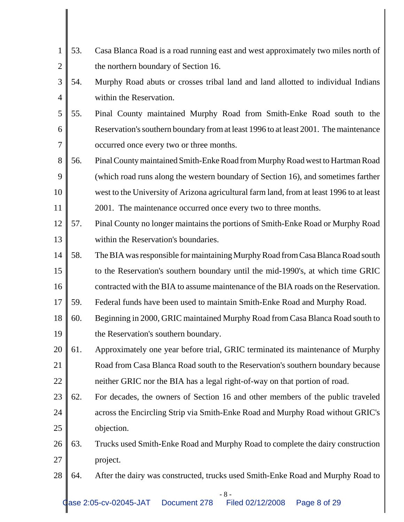| 1              | 53. | Casa Blanca Road is a road running east and west approximately two miles north of        |
|----------------|-----|------------------------------------------------------------------------------------------|
| $\overline{2}$ |     | the northern boundary of Section 16.                                                     |
| 3              | 54. | Murphy Road abuts or crosses tribal land and land allotted to individual Indians         |
| $\overline{4}$ |     | within the Reservation.                                                                  |
| 5              | 55. | Pinal County maintained Murphy Road from Smith-Enke Road south to the                    |
| 6              |     | Reservation's southern boundary from at least 1996 to at least 2001. The maintenance     |
| $\overline{7}$ |     | occurred once every two or three months.                                                 |
| 8              | 56. | Pinal County maintained Smith-Enke Road from Murphy Road west to Hartman Road            |
| 9              |     | (which road runs along the western boundary of Section 16), and sometimes farther        |
| 10             |     | west to the University of Arizona agricultural farm land, from at least 1996 to at least |
| 11             |     | 2001. The maintenance occurred once every two to three months.                           |
| 12             | 57. | Pinal County no longer maintains the portions of Smith-Enke Road or Murphy Road          |
| 13             |     | within the Reservation's boundaries.                                                     |
| 14             | 58. | The BIA was responsible for maintaining Murphy Road from Casa Blanca Road south          |
| 15             |     | to the Reservation's southern boundary until the mid-1990's, at which time GRIC          |
| 16             |     | contracted with the BIA to assume maintenance of the BIA roads on the Reservation.       |
| 17             | 59. | Federal funds have been used to maintain Smith-Enke Road and Murphy Road.                |
| 18             | 60. | Beginning in 2000, GRIC maintained Murphy Road from Casa Blanca Road south to            |
| 19             |     | the Reservation's southern boundary.                                                     |
| 20             | 61. | Approximately one year before trial, GRIC terminated its maintenance of Murphy           |
| 21             |     | Road from Casa Blanca Road south to the Reservation's southern boundary because          |
| <b>22</b>      |     | neither GRIC nor the BIA has a legal right-of-way on that portion of road.               |
| 23             | 62. | For decades, the owners of Section 16 and other members of the public traveled           |
| 24             |     | across the Encircling Strip via Smith-Enke Road and Murphy Road without GRIC's           |
| 25             |     | objection.                                                                               |
| 26             | 63. | Trucks used Smith-Enke Road and Murphy Road to complete the dairy construction           |
| <b>27</b>      |     | project.                                                                                 |
| 28             | 64. | After the dairy was constructed, trucks used Smith-Enke Road and Murphy Road to          |
|                |     | $-8-$                                                                                    |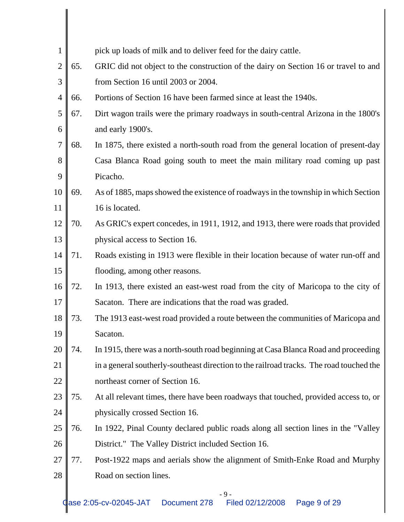| $\mathbf{1}$   |     | pick up loads of milk and to deliver feed for the dairy cattle.                         |
|----------------|-----|-----------------------------------------------------------------------------------------|
| $\overline{2}$ | 65. | GRIC did not object to the construction of the dairy on Section 16 or travel to and     |
| 3              |     | from Section 16 until 2003 or 2004.                                                     |
| $\overline{4}$ | 66. | Portions of Section 16 have been farmed since at least the 1940s.                       |
| 5              | 67. | Dirt wagon trails were the primary roadways in south-central Arizona in the 1800's      |
| 6              |     | and early 1900's.                                                                       |
| 7              | 68. | In 1875, there existed a north-south road from the general location of present-day      |
| 8              |     | Casa Blanca Road going south to meet the main military road coming up past              |
| 9              |     | Picacho.                                                                                |
| 10             | 69. | As of 1885, maps showed the existence of roadways in the township in which Section      |
| 11             |     | 16 is located.                                                                          |
| 12             | 70. | As GRIC's expert concedes, in 1911, 1912, and 1913, there were roads that provided      |
| 13             |     | physical access to Section 16.                                                          |
| 14             | 71. | Roads existing in 1913 were flexible in their location because of water run-off and     |
| 15             |     | flooding, among other reasons.                                                          |
| 16             | 72. | In 1913, there existed an east-west road from the city of Maricopa to the city of       |
| 17             |     | Sacaton. There are indications that the road was graded.                                |
| 18             | 73. | The 1913 east-west road provided a route between the communities of Maricopa and        |
| 19             |     | Sacaton.                                                                                |
| 20             | 74. | In 1915, there was a north-south road beginning at Casa Blanca Road and proceeding      |
| 21             |     | in a general southerly-southeast direction to the railroad tracks. The road touched the |
| 22             |     | northeast corner of Section 16.                                                         |
| 23             | 75. | At all relevant times, there have been roadways that touched, provided access to, or    |
| 24             |     | physically crossed Section 16.                                                          |
| 25             | 76. | In 1922, Pinal County declared public roads along all section lines in the "Valley"     |
| 26             |     | District." The Valley District included Section 16.                                     |
| 27             | 77. | Post-1922 maps and aerials show the alignment of Smith-Enke Road and Murphy             |
| 28             |     | Road on section lines.                                                                  |
|                |     |                                                                                         |

- 9 -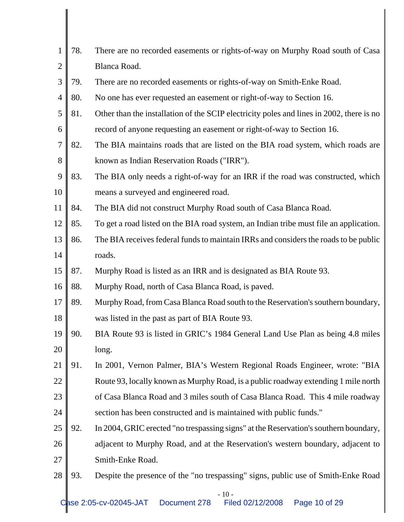| 78. |                                                                                          |
|-----|------------------------------------------------------------------------------------------|
|     | There are no recorded easements or rights-of-way on Murphy Road south of Casa            |
|     | Blanca Road.                                                                             |
| 79. | There are no recorded easements or rights-of-way on Smith-Enke Road.                     |
| 80. | No one has ever requested an easement or right-of-way to Section 16.                     |
| 81. | Other than the installation of the SCIP electricity poles and lines in 2002, there is no |
|     | record of anyone requesting an easement or right-of-way to Section 16.                   |
| 82. | The BIA maintains roads that are listed on the BIA road system, which roads are          |
|     | known as Indian Reservation Roads ("IRR").                                               |
| 83. | The BIA only needs a right-of-way for an IRR if the road was constructed, which          |
|     | means a surveyed and engineered road.                                                    |
| 84. | The BIA did not construct Murphy Road south of Casa Blanca Road.                         |
| 85. | To get a road listed on the BIA road system, an Indian tribe must file an application.   |
| 86. | The BIA receives federal funds to maintain IRRs and considers the roads to be public     |
|     | roads.                                                                                   |
| 87. | Murphy Road is listed as an IRR and is designated as BIA Route 93.                       |
| 88. | Murphy Road, north of Casa Blanca Road, is paved.                                        |
| 89. | Murphy Road, from Casa Blanca Road south to the Reservation's southern boundary,         |
|     | was listed in the past as part of BIA Route 93.                                          |
| 90  | BIA Route 93 is listed in GRIC's 1984 General Land Use Plan as being 4.8 miles           |
|     | long.                                                                                    |
|     |                                                                                          |
| 91. | In 2001, Vernon Palmer, BIA's Western Regional Roads Engineer, wrote: "BIA               |
|     | Route 93, locally known as Murphy Road, is a public roadway extending 1 mile north       |
|     | of Casa Blanca Road and 3 miles south of Casa Blanca Road. This 4 mile roadway           |
|     | section has been constructed and is maintained with public funds."                       |
| 92. | In 2004, GRIC erected "no trespassing signs" at the Reservation's southern boundary,     |
|     | adjacent to Murphy Road, and at the Reservation's western boundary, adjacent to          |
|     | Smith-Enke Road.                                                                         |
|     |                                                                                          |

- 10 -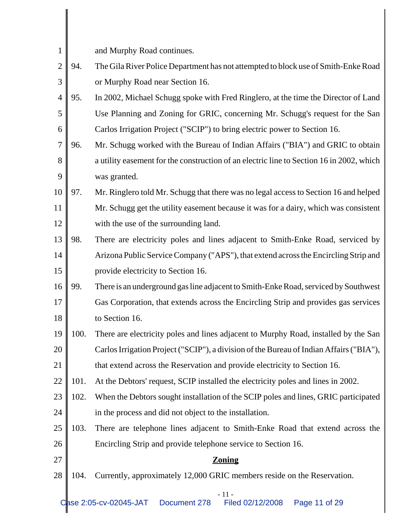| $\mathbf{1}$   |      | and Murphy Road continues.                                                               |
|----------------|------|------------------------------------------------------------------------------------------|
| $\overline{2}$ | 94.  | The Gila River Police Department has not attempted to block use of Smith-Enke Road       |
| 3              |      | or Murphy Road near Section 16.                                                          |
| $\overline{4}$ | 95.  | In 2002, Michael Schugg spoke with Fred Ringlero, at the time the Director of Land       |
| 5              |      | Use Planning and Zoning for GRIC, concerning Mr. Schugg's request for the San            |
| 6              |      | Carlos Irrigation Project ("SCIP") to bring electric power to Section 16.                |
| $\overline{7}$ | 96.  | Mr. Schugg worked with the Bureau of Indian Affairs ("BIA") and GRIC to obtain           |
| 8              |      | a utility easement for the construction of an electric line to Section 16 in 2002, which |
| 9              |      | was granted.                                                                             |
| 10             | 97.  | Mr. Ringlero told Mr. Schugg that there was no legal access to Section 16 and helped     |
| 11             |      | Mr. Schugg get the utility easement because it was for a dairy, which was consistent     |
| 12             |      | with the use of the surrounding land.                                                    |
| 13             | 98.  | There are electricity poles and lines adjacent to Smith-Enke Road, serviced by           |
| 14             |      | Arizona Public Service Company ("APS"), that extend across the Encircling Strip and      |
| 15             |      | provide electricity to Section 16.                                                       |
| 16             | 99.  | There is an underground gas line adjacent to Smith-Enke Road, serviced by Southwest      |
| 17             |      | Gas Corporation, that extends across the Encircling Strip and provides gas services      |
| 18             |      | to Section 16.                                                                           |
| 19             | 100. | There are electricity poles and lines adjacent to Murphy Road, installed by the San      |
| 20             |      | Carlos Irrigation Project ("SCIP"), a division of the Bureau of Indian Affairs ("BIA"),  |
| 21             |      | that extend across the Reservation and provide electricity to Section 16.                |
| 22             | 101. | At the Debtors' request, SCIP installed the electricity poles and lines in 2002.         |
| 23             | 102. | When the Debtors sought installation of the SCIP poles and lines, GRIC participated      |
| 24             |      | in the process and did not object to the installation.                                   |
| 25             | 103. | There are telephone lines adjacent to Smith-Enke Road that extend across the             |
| 26             |      | Encircling Strip and provide telephone service to Section 16.                            |
| 27             |      | <b>Zoning</b>                                                                            |
| 28             | 104. | Currently, approximately 12,000 GRIC members reside on the Reservation.                  |
|                |      | $-11-$                                                                                   |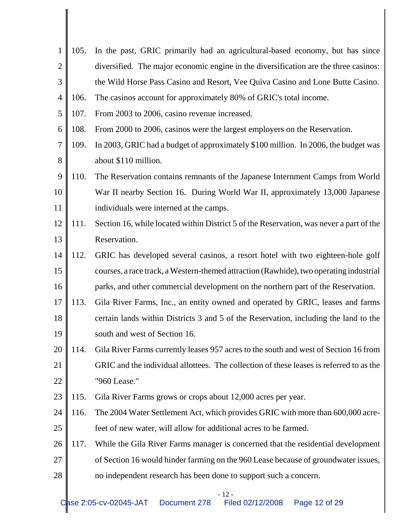| $\mathbf{1}$   | 105. | In the past, GRIC primarily had an agricultural-based economy, but has since            |
|----------------|------|-----------------------------------------------------------------------------------------|
| $\overline{2}$ |      | diversified. The major economic engine in the diversification are the three casinos:    |
| 3              |      | the Wild Horse Pass Casino and Resort, Vee Quiva Casino and Lone Butte Casino.          |
| $\overline{4}$ | 106. | The casinos account for approximately 80% of GRIC's total income.                       |
| 5              | 107. | From 2003 to 2006, casino revenue increased.                                            |
| 6              | 108. | From 2000 to 2006, casinos were the largest employers on the Reservation.               |
| 7              | 109. | In 2003, GRIC had a budget of approximately \$100 million. In 2006, the budget was      |
| 8              |      | about \$110 million.                                                                    |
| 9              | 110. | The Reservation contains remnants of the Japanese Internment Camps from World           |
| 10             |      | War II nearby Section 16. During World War II, approximately 13,000 Japanese            |
| 11             |      | individuals were interned at the camps.                                                 |
| 12             | 111. | Section 16, while located within District 5 of the Reservation, was never a part of the |
| 13             |      | Reservation.                                                                            |
| 14             | 112. | GRIC has developed several casinos, a resort hotel with two eighteen-hole golf          |
| 15             |      | courses, a race track, a Western-themed attraction (Rawhide), two operating industrial  |
| 16             |      | parks, and other commercial development on the northern part of the Reservation.        |
| 17             | 113. | Gila River Farms, Inc., an entity owned and operated by GRIC, leases and farms          |
| 18             |      | certain lands within Districts 3 and 5 of the Reservation, including the land to the    |
| 19             |      | south and west of Section 16.                                                           |
| 20             | 114. | Gila River Farms currently leases 957 acres to the south and west of Section 16 from    |
| 21             |      | GRIC and the individual allottees. The collection of these leases is referred to as the |
| 22             |      | "960 Lease."                                                                            |
| 23             | 115. | Gila River Farms grows or crops about 12,000 acres per year.                            |
| 24             | 116. | The 2004 Water Settlement Act, which provides GRIC with more than 600,000 acre-         |
| 25             |      | feet of new water, will allow for additional acres to be farmed.                        |
| 26             | 117. | While the Gila River Farms manager is concerned that the residential development        |
| 27             |      | of Section 16 would hinder farming on the 960 Lease because of groundwater issues,      |
| 28             |      | no independent research has been done to support such a concern.                        |
|                |      |                                                                                         |

- 12 -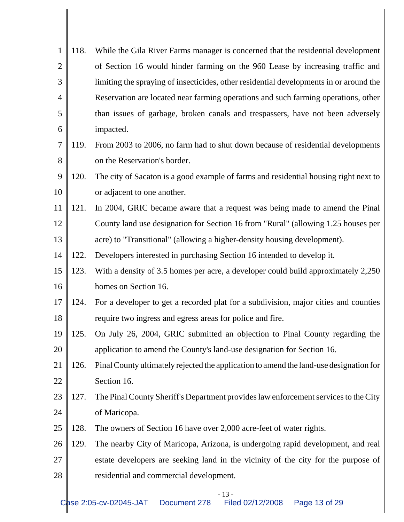| 1              | 118. | While the Gila River Farms manager is concerned that the residential development       |
|----------------|------|----------------------------------------------------------------------------------------|
| $\overline{2}$ |      | of Section 16 would hinder farming on the 960 Lease by increasing traffic and          |
| 3              |      | limiting the spraying of insecticides, other residential developments in or around the |
| 4              |      | Reservation are located near farming operations and such farming operations, other     |
| 5              |      | than issues of garbage, broken canals and trespassers, have not been adversely         |
| 6              |      | impacted.                                                                              |
| 7              | 119. | From 2003 to 2006, no farm had to shut down because of residential developments        |
| 8              |      | on the Reservation's border.                                                           |
| 9              | 120. | The city of Sacaton is a good example of farms and residential housing right next to   |
| 10             |      | or adjacent to one another.                                                            |
| 11             | 121. | In 2004, GRIC became aware that a request was being made to amend the Pinal            |
| 12             |      | County land use designation for Section 16 from "Rural" (allowing 1.25 houses per      |
| 13             |      | acre) to "Transitional" (allowing a higher-density housing development).               |
| 14             | 122. | Developers interested in purchasing Section 16 intended to develop it.                 |
| 15             | 123. | With a density of 3.5 homes per acre, a developer could build approximately 2,250      |
| 16             |      | homes on Section 16.                                                                   |
| 17             | 124. | For a developer to get a recorded plat for a subdivision, major cities and counties    |
| 18             |      | require two ingress and egress areas for police and fire.                              |
| 19             | 125. | On July 26, 2004, GRIC submitted an objection to Pinal County regarding the            |
| 20             |      | application to amend the County's land-use designation for Section 16.                 |
| 21             | 126. | Pinal County ultimately rejected the application to amend the land-use designation for |
| 22             |      | Section 16.                                                                            |
| 23             | 127. | The Pinal County Sheriff's Department provides law enforcement services to the City    |
| 24             |      | of Maricopa.                                                                           |
| 25             | 128. | The owners of Section 16 have over 2,000 acre-feet of water rights.                    |
| 26             | 129. | The nearby City of Maricopa, Arizona, is undergoing rapid development, and real        |
| <b>27</b>      |      | estate developers are seeking land in the vicinity of the city for the purpose of      |
| $28\,$         |      | residential and commercial development.                                                |
|                |      |                                                                                        |

- 13 -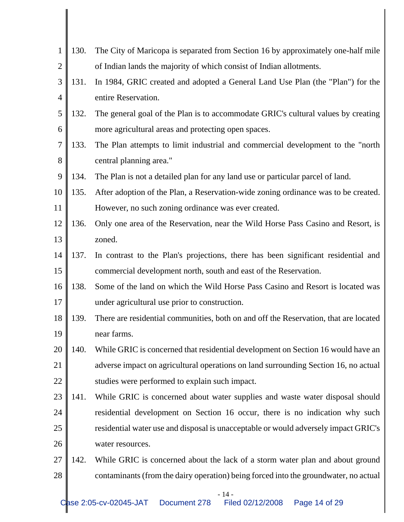| 1              | 130. | The City of Maricopa is separated from Section 16 by approximately one-half mile     |
|----------------|------|--------------------------------------------------------------------------------------|
| $\overline{2}$ |      | of Indian lands the majority of which consist of Indian allotments.                  |
| 3              | 131. | In 1984, GRIC created and adopted a General Land Use Plan (the "Plan") for the       |
| 4              |      | entire Reservation.                                                                  |
| 5              | 132. | The general goal of the Plan is to accommodate GRIC's cultural values by creating    |
| 6              |      | more agricultural areas and protecting open spaces.                                  |
| $\overline{7}$ | 133. | The Plan attempts to limit industrial and commercial development to the "north"      |
| 8              |      | central planning area."                                                              |
| 9              | 134. | The Plan is not a detailed plan for any land use or particular parcel of land.       |
| 10             | 135. | After adoption of the Plan, a Reservation-wide zoning ordinance was to be created.   |
| 11             |      | However, no such zoning ordinance was ever created.                                  |
| 12             | 136. | Only one area of the Reservation, near the Wild Horse Pass Casino and Resort, is     |
| 13             |      | zoned.                                                                               |
| 14             | 137. | In contrast to the Plan's projections, there has been significant residential and    |
| 15             |      | commercial development north, south and east of the Reservation.                     |
| 16             | 138. | Some of the land on which the Wild Horse Pass Casino and Resort is located was       |
| 17             |      | under agricultural use prior to construction.                                        |
| 18             | 139. | There are residential communities, both on and off the Reservation, that are located |
| 19             |      | near farms.                                                                          |
| 20             | 140. | While GRIC is concerned that residential development on Section 16 would have an     |
| 21             |      | adverse impact on agricultural operations on land surrounding Section 16, no actual  |
| 22             |      | studies were performed to explain such impact.                                       |
| 23             | 141. | While GRIC is concerned about water supplies and waste water disposal should         |
| 24             |      | residential development on Section 16 occur, there is no indication why such         |
| 25             |      | residential water use and disposal is unacceptable or would adversely impact GRIC's  |
| 26             |      | water resources.                                                                     |
| 27             | 142. | While GRIC is concerned about the lack of a storm water plan and about ground        |
| 28             |      | contaminants (from the dairy operation) being forced into the groundwater, no actual |
|                |      |                                                                                      |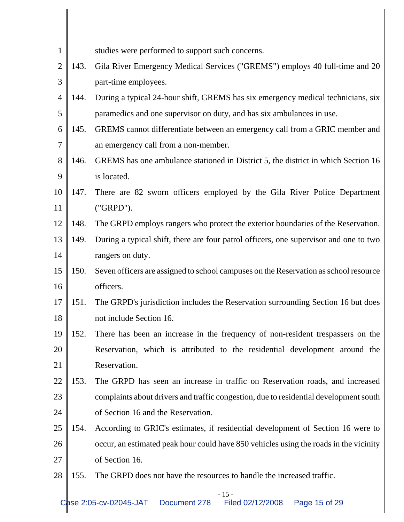| $\mathbf{1}$   |      | studies were performed to support such concerns.                                      |
|----------------|------|---------------------------------------------------------------------------------------|
| $\overline{2}$ | 143. | Gila River Emergency Medical Services ("GREMS") employs 40 full-time and 20           |
| 3              |      | part-time employees.                                                                  |
| $\overline{4}$ | 144. | During a typical 24-hour shift, GREMS has six emergency medical technicians, six      |
| 5              |      | paramedics and one supervisor on duty, and has six ambulances in use.                 |
| 6              | 145. | GREMS cannot differentiate between an emergency call from a GRIC member and           |
| 7              |      | an emergency call from a non-member.                                                  |
| 8              | 146. | GREMS has one ambulance stationed in District 5, the district in which Section 16     |
| 9              |      | is located.                                                                           |
| 10             | 147. | There are 82 sworn officers employed by the Gila River Police Department              |
| 11             |      | ("GRPD").                                                                             |
| 12             | 148. | The GRPD employs rangers who protect the exterior boundaries of the Reservation.      |
| 13             | 149. | During a typical shift, there are four patrol officers, one supervisor and one to two |
| 14             |      | rangers on duty.                                                                      |
| 15             | 150. | Seven officers are assigned to school campuses on the Reservation as school resource  |
| 16             |      | officers.                                                                             |
| 17             | 151. | The GRPD's jurisdiction includes the Reservation surrounding Section 16 but does      |
| 18             |      | not include Section 16.                                                               |
| 19             | 152  | There has been an increase in the frequency of non-resident trespassers on the        |
| 20             |      | Reservation, which is attributed to the residential development around the            |
| 21             |      | Reservation.                                                                          |
| 22             | 153. | The GRPD has seen an increase in traffic on Reservation roads, and increased          |
| 23             |      | complaints about drivers and traffic congestion, due to residential development south |
| 24             |      | of Section 16 and the Reservation.                                                    |
| 25             | 154. | According to GRIC's estimates, if residential development of Section 16 were to       |
| 26             |      | occur, an estimated peak hour could have 850 vehicles using the roads in the vicinity |
| 27             |      | of Section 16.                                                                        |
| 28             | 155. | The GRPD does not have the resources to handle the increased traffic.                 |

- 15 -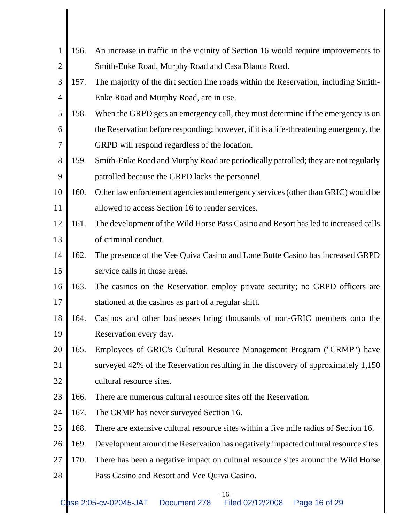| 1              | 156. | An increase in traffic in the vicinity of Section 16 would require improvements to     |
|----------------|------|----------------------------------------------------------------------------------------|
| $\overline{2}$ |      | Smith-Enke Road, Murphy Road and Casa Blanca Road.                                     |
| 3              | 157. | The majority of the dirt section line roads within the Reservation, including Smith-   |
| $\overline{4}$ |      | Enke Road and Murphy Road, are in use.                                                 |
| 5              | 158. | When the GRPD gets an emergency call, they must determine if the emergency is on       |
| 6              |      | the Reservation before responding; however, if it is a life-threatening emergency, the |
| $\overline{7}$ |      | GRPD will respond regardless of the location.                                          |
| 8              | 159. | Smith-Enke Road and Murphy Road are periodically patrolled; they are not regularly     |
| 9              |      | patrolled because the GRPD lacks the personnel.                                        |
| 10             | 160. | Other law enforcement agencies and emergency services (other than GRIC) would be       |
| 11             |      | allowed to access Section 16 to render services.                                       |
| 12             | 161. | The development of the Wild Horse Pass Casino and Resort has led to increased calls    |
| 13             |      | of criminal conduct.                                                                   |
| 14             | 162. | The presence of the Vee Quiva Casino and Lone Butte Casino has increased GRPD          |
| 15             |      | service calls in those areas.                                                          |
| 16             | 163. | The casinos on the Reservation employ private security; no GRPD officers are           |
| 17             |      | stationed at the casinos as part of a regular shift.                                   |
| 18             | 164. | Casinos and other businesses bring thousands of non-GRIC members onto the              |
| 19             |      | Reservation every day.                                                                 |
| 20             | 165. | Employees of GRIC's Cultural Resource Management Program ("CRMP") have                 |
| 21             |      | surveyed 42% of the Reservation resulting in the discovery of approximately 1,150      |
| 22             |      | cultural resource sites.                                                               |
| 23             | 166. | There are numerous cultural resource sites off the Reservation.                        |
| 24             | 167. | The CRMP has never surveyed Section 16.                                                |
| 25             | 168. | There are extensive cultural resource sites within a five mile radius of Section 16.   |
| 26             | 169. | Development around the Reservation has negatively impacted cultural resource sites.    |
| 27             | 170. | There has been a negative impact on cultural resource sites around the Wild Horse      |
| 28             |      | Pass Casino and Resort and Vee Quiva Casino.                                           |

- 16 -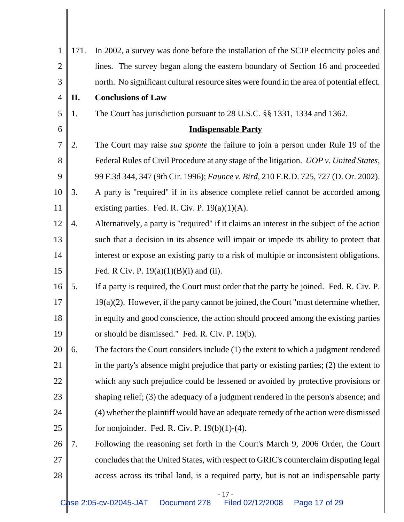| $\mathbf{1}$   | 171. | In 2002, a survey was done before the installation of the SCIP electricity poles and       |  |  |  |  |  |
|----------------|------|--------------------------------------------------------------------------------------------|--|--|--|--|--|
| $\overline{2}$ |      | lines. The survey began along the eastern boundary of Section 16 and proceeded             |  |  |  |  |  |
| 3              |      | north. No significant cultural resource sites were found in the area of potential effect.  |  |  |  |  |  |
| $\overline{4}$ | П.   | <b>Conclusions of Law</b>                                                                  |  |  |  |  |  |
| 5              | 1.   | The Court has jurisdiction pursuant to 28 U.S.C. §§ 1331, 1334 and 1362.                   |  |  |  |  |  |
| 6              |      | <b>Indispensable Party</b>                                                                 |  |  |  |  |  |
| $\overline{7}$ | 2.   | The Court may raise sua sponte the failure to join a person under Rule 19 of the           |  |  |  |  |  |
| 8              |      | Federal Rules of Civil Procedure at any stage of the litigation. UOP v. United States,     |  |  |  |  |  |
| 9              |      | 99 F.3d 344, 347 (9th Cir. 1996); Faunce v. Bird, 210 F.R.D. 725, 727 (D. Or. 2002).       |  |  |  |  |  |
| 10             | 3.   | A party is "required" if in its absence complete relief cannot be accorded among           |  |  |  |  |  |
| 11             |      | existing parties. Fed. R. Civ. P. $19(a)(1)(A)$ .                                          |  |  |  |  |  |
| 12             | 4.   | Alternatively, a party is "required" if it claims an interest in the subject of the action |  |  |  |  |  |
| 13             |      | such that a decision in its absence will impair or impede its ability to protect that      |  |  |  |  |  |
| 14             |      | interest or expose an existing party to a risk of multiple or inconsistent obligations.    |  |  |  |  |  |
| 15             |      | Fed. R Civ. P. $19(a)(1)(B)(i)$ and (ii).                                                  |  |  |  |  |  |
| 16             | 5.   | If a party is required, the Court must order that the party be joined. Fed. R. Civ. P.     |  |  |  |  |  |
| 17             |      | $19(a)(2)$ . However, if the party cannot be joined, the Court "must determine whether,    |  |  |  |  |  |
| 18             |      | in equity and good conscience, the action should proceed among the existing parties        |  |  |  |  |  |
| 19             |      | or should be dismissed." Fed. R. Civ. P. 19(b).                                            |  |  |  |  |  |
| 20             | 6.   | The factors the Court considers include (1) the extent to which a judgment rendered        |  |  |  |  |  |
| 21             |      | in the party's absence might prejudice that party or existing parties; (2) the extent to   |  |  |  |  |  |
| 22             |      | which any such prejudice could be lessened or avoided by protective provisions or          |  |  |  |  |  |
| 23             |      | shaping relief; (3) the adequacy of a judgment rendered in the person's absence; and       |  |  |  |  |  |
| 24             |      | (4) whether the plaintiff would have an adequate remedy of the action were dismissed       |  |  |  |  |  |
| 25             |      | for nonjoinder. Fed. R. Civ. P. $19(b)(1)-(4)$ .                                           |  |  |  |  |  |
| 26             | 7.   | Following the reasoning set forth in the Court's March 9, 2006 Order, the Court            |  |  |  |  |  |
| 27             |      | concludes that the United States, with respect to GRIC's counterclaim disputing legal      |  |  |  |  |  |
| 28             |      | access across its tribal land, is a required party, but is not an indispensable party      |  |  |  |  |  |
|                |      |                                                                                            |  |  |  |  |  |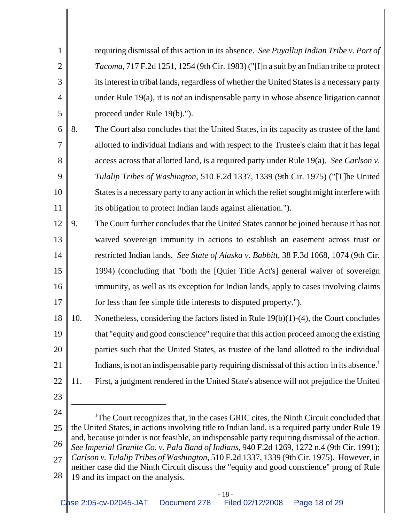| 1              |     | requiring dismissal of this action in its absence. See Puyallup Indian Tribe v. Port of                                                                                                       |
|----------------|-----|-----------------------------------------------------------------------------------------------------------------------------------------------------------------------------------------------|
| $\overline{2}$ |     | Tacoma, 717 F.2d 1251, 1254 (9th Cir. 1983) ("[I]n a suit by an Indian tribe to protect                                                                                                       |
| 3              |     | its interest in tribal lands, regardless of whether the United States is a necessary party                                                                                                    |
| 4              |     | under Rule $19(a)$ , it is <i>not</i> an indispensable party in whose absence litigation cannot                                                                                               |
| 5              |     | proceed under Rule 19(b).").                                                                                                                                                                  |
| 6              | 8.  | The Court also concludes that the United States, in its capacity as trustee of the land                                                                                                       |
| 7              |     | allotted to individual Indians and with respect to the Trustee's claim that it has legal                                                                                                      |
| 8              |     | access across that allotted land, is a required party under Rule 19(a). See Carlson v.                                                                                                        |
| 9              |     | Tulalip Tribes of Washington, 510 F.2d 1337, 1339 (9th Cir. 1975) ("[T]he United                                                                                                              |
| 10             |     | States is a necessary party to any action in which the relief sought might interfere with                                                                                                     |
| 11             |     | its obligation to protect Indian lands against alienation.").                                                                                                                                 |
| 12             | 9.  | The Court further concludes that the United States cannot be joined because it has not                                                                                                        |
| 13             |     | waived sovereign immunity in actions to establish an easement across trust or                                                                                                                 |
| 14             |     | restricted Indian lands. See State of Alaska v. Babbitt, 38 F.3d 1068, 1074 (9th Cir.                                                                                                         |
| 15             |     | 1994) (concluding that "both the [Quiet Title Act's] general waiver of sovereign                                                                                                              |
| 16             |     | immunity, as well as its exception for Indian lands, apply to cases involving claims                                                                                                          |
| 17             |     | for less than fee simple title interests to disputed property.").                                                                                                                             |
| 18             | 10. | Nonetheless, considering the factors listed in Rule $19(b)(1)-(4)$ , the Court concludes                                                                                                      |
| 19             |     | that "equity and good conscience" require that this action proceed among the existing                                                                                                         |
| 20             |     | parties such that the United States, as trustee of the land allotted to the individual                                                                                                        |
| 21             |     | Indians, is not an indispensable party requiring dismissal of this action in its absence. <sup>1</sup>                                                                                        |
| 22             | 11. | First, a judgment rendered in the United State's absence will not prejudice the United                                                                                                        |
| 23             |     |                                                                                                                                                                                               |
| 24             |     | <sup>1</sup> The Court recognizes that, in the cases GRIC cites, the Ninth Circuit concluded that                                                                                             |
| 25             |     | the United States, in actions involving title to Indian land, is a required party under Rule 19                                                                                               |
| 26             |     | and, because joinder is not feasible, an indispensable party requiring dismissal of the action.<br>See Imperial Granite Co. v. Pala Band of Indians, 940 F.2d 1269, 1272 n.4 (9th Cir. 1991); |
| 27             |     | Carlson v. Tulalip Tribes of Washington, 510 F.2d 1337, 1339 (9th Cir. 1975). However, in<br>neither case did the Ninth Circuit discuss the "equity and good conscience" prong of Rule        |
| 28             |     | 19 and its impact on the analysis.                                                                                                                                                            |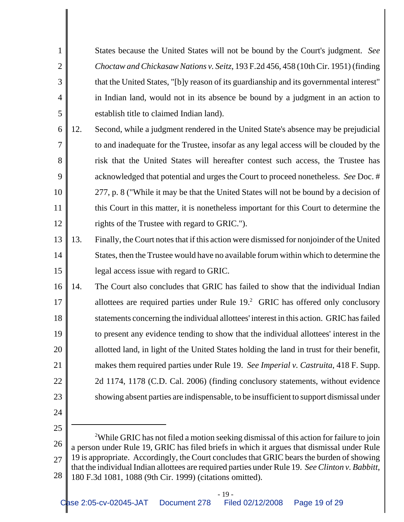States because the United States will not be bound by the Court's judgment. *See Choctaw and Chickasaw Nations v. Seitz*, 193 F.2d 456, 458 (10th Cir. 1951) (finding that the United States, "[b]y reason of its guardianship and its governmental interest" in Indian land, would not in its absence be bound by a judgment in an action to establish title to claimed Indian land).

- 6 7 8 9 10 11 12 12. Second, while a judgment rendered in the United State's absence may be prejudicial to and inadequate for the Trustee, insofar as any legal access will be clouded by the risk that the United States will hereafter contest such access, the Trustee has acknowledged that potential and urges the Court to proceed nonetheless. *See* Doc. # 277, p. 8 ("While it may be that the United States will not be bound by a decision of this Court in this matter, it is nonetheless important for this Court to determine the rights of the Trustee with regard to GRIC.").
- 13 14 15 13. Finally, the Court notes that if this action were dismissed for nonjoinder of the United States, then the Trustee would have no available forum within which to determine the legal access issue with regard to GRIC.
- 16 17 18 19 20 21 22 23 14. The Court also concludes that GRIC has failed to show that the individual Indian allottees are required parties under Rule  $19<sup>2</sup>$  GRIC has offered only conclusory statements concerning the individual allottees' interest in this action. GRIC has failed to present any evidence tending to show that the individual allottees' interest in the allotted land, in light of the United States holding the land in trust for their benefit, makes them required parties under Rule 19. *See Imperial v. Castruita*, 418 F. Supp. 2d 1174, 1178 (C.D. Cal. 2006) (finding conclusory statements, without evidence showing absent parties are indispensable, to be insufficient to support dismissal under
- 24 25

1

2

3

4

5

26 27 28 <sup>2</sup>While GRIC has not filed a motion seeking dismissal of this action for failure to join a person under Rule 19, GRIC has filed briefs in which it argues that dismissal under Rule 19 is appropriate. Accordingly, the Court concludes that GRIC bears the burden of showing that the individual Indian allottees are required parties under Rule 19. *See Clinton v. Babbitt*, 180 F.3d 1081, 1088 (9th Cir. 1999) (citations omitted).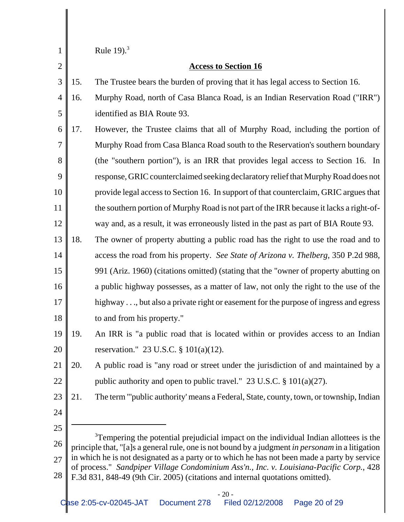| 1              | Rule 19 $13$                                                                                 |                                                                                                                                                                                                       |  |  |  |
|----------------|----------------------------------------------------------------------------------------------|-------------------------------------------------------------------------------------------------------------------------------------------------------------------------------------------------------|--|--|--|
| $\overline{2}$ |                                                                                              | <b>Access to Section 16</b>                                                                                                                                                                           |  |  |  |
| 3              | 15.                                                                                          | The Trustee bears the burden of proving that it has legal access to Section 16.                                                                                                                       |  |  |  |
| $\overline{4}$ | 16.                                                                                          | Murphy Road, north of Casa Blanca Road, is an Indian Reservation Road ("IRR")                                                                                                                         |  |  |  |
| 5              |                                                                                              | identified as BIA Route 93.                                                                                                                                                                           |  |  |  |
| 6              | 17.                                                                                          | However, the Trustee claims that all of Murphy Road, including the portion of                                                                                                                         |  |  |  |
| 7              |                                                                                              | Murphy Road from Casa Blanca Road south to the Reservation's southern boundary                                                                                                                        |  |  |  |
| 8              |                                                                                              | (the "southern portion"), is an IRR that provides legal access to Section 16. In                                                                                                                      |  |  |  |
| 9              |                                                                                              | response, GRIC counterclaimed seeking declaratory relief that Murphy Road does not                                                                                                                    |  |  |  |
| 10             |                                                                                              | provide legal access to Section 16. In support of that counterclaim, GRIC argues that                                                                                                                 |  |  |  |
| 11             |                                                                                              | the southern portion of Murphy Road is not part of the IRR because it lacks a right-of-                                                                                                               |  |  |  |
| 12             |                                                                                              | way and, as a result, it was erroneously listed in the past as part of BIA Route 93.                                                                                                                  |  |  |  |
| 13             | 18.                                                                                          | The owner of property abutting a public road has the right to use the road and to                                                                                                                     |  |  |  |
| 14             |                                                                                              | access the road from his property. See State of Arizona v. Thelberg, 350 P.2d 988,                                                                                                                    |  |  |  |
| 15             |                                                                                              | 991 (Ariz. 1960) (citations omitted) (stating that the "owner of property abutting on                                                                                                                 |  |  |  |
| 16             |                                                                                              | a public highway possesses, as a matter of law, not only the right to the use of the                                                                                                                  |  |  |  |
| 17             |                                                                                              | highway , but also a private right or easement for the purpose of ingress and egress                                                                                                                  |  |  |  |
| 18             |                                                                                              | to and from his property."                                                                                                                                                                            |  |  |  |
| 19             | 19.                                                                                          | An IRR is "a public road that is located within or provides access to an Indian                                                                                                                       |  |  |  |
| 20             |                                                                                              | reservation." 23 U.S.C. $\S 101(a)(12)$ .                                                                                                                                                             |  |  |  |
| 21             | 20.                                                                                          | A public road is "any road or street under the jurisdiction of and maintained by a                                                                                                                    |  |  |  |
| 22             |                                                                                              | public authority and open to public travel." 23 U.S.C. $\S 101(a)(27)$ .                                                                                                                              |  |  |  |
| 23             | 21.                                                                                          | The term "'public authority' means a Federal, State, county, town, or township, Indian                                                                                                                |  |  |  |
| 24             |                                                                                              |                                                                                                                                                                                                       |  |  |  |
| 25             |                                                                                              |                                                                                                                                                                                                       |  |  |  |
| 26             |                                                                                              | <sup>3</sup> Tempering the potential prejudicial impact on the individual Indian allottees is the<br>principle that, "[a]s a general rule, one is not bound by a judgment in personam in a litigation |  |  |  |
| 27             | in which he is not designated as a party or to which he has not been made a party by service |                                                                                                                                                                                                       |  |  |  |
| 28             |                                                                                              | of process." Sandpiper Village Condominium Ass'n., Inc. v. Louisiana-Pacific Corp., 428<br>F.3d 831, 848-49 (9th Cir. 2005) (citations and internal quotations omitted).                              |  |  |  |
|                |                                                                                              | $-20-$                                                                                                                                                                                                |  |  |  |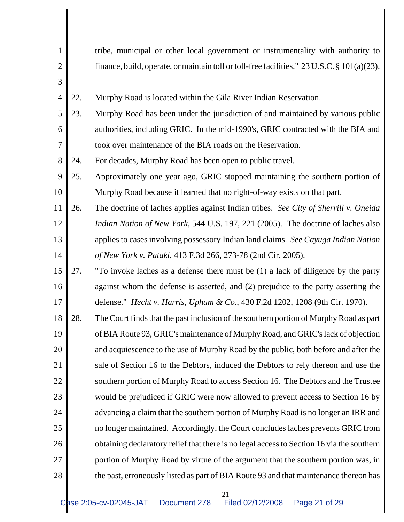| 1              |     | tribe, municipal or other local government or instrumentality with authority to             |
|----------------|-----|---------------------------------------------------------------------------------------------|
| $\overline{2}$ |     | finance, build, operate, or maintain toll or toll-free facilities." 23 U.S.C. § 101(a)(23). |
| 3              |     |                                                                                             |
| $\overline{4}$ | 22. | Murphy Road is located within the Gila River Indian Reservation.                            |
| 5              | 23. | Murphy Road has been under the jurisdiction of and maintained by various public             |
| 6              |     | authorities, including GRIC. In the mid-1990's, GRIC contracted with the BIA and            |
| $\overline{7}$ |     | took over maintenance of the BIA roads on the Reservation.                                  |
| 8              | 24. | For decades, Murphy Road has been open to public travel.                                    |
| 9              | 25. | Approximately one year ago, GRIC stopped maintaining the southern portion of                |
| 10             |     | Murphy Road because it learned that no right-of-way exists on that part.                    |
| 11             | 26. | The doctrine of laches applies against Indian tribes. See City of Sherrill v. Oneida        |
| 12             |     | Indian Nation of New York, 544 U.S. 197, 221 (2005). The doctrine of laches also            |
| 13             |     | applies to cases involving possessory Indian land claims. See Cayuga Indian Nation          |
| 14             |     | of New York v. Pataki, 413 F.3d 266, 273-78 (2nd Cir. 2005).                                |
| 15             | 27. | "To invoke laches as a defense there must be (1) a lack of diligence by the party           |
| 16             |     | against whom the defense is asserted, and (2) prejudice to the party asserting the          |
| 17             |     | defense." <i>Hecht v. Harris, Upham &amp; Co.</i> , 430 F.2d 1202, 1208 (9th Cir. 1970).    |
| 18             | 28. | The Court finds that the past inclusion of the southern portion of Murphy Road as part      |
| 19             |     | of BIA Route 93, GRIC's maintenance of Murphy Road, and GRIC's lack of objection            |
| 20             |     | and acquiescence to the use of Murphy Road by the public, both before and after the         |
| 21             |     | sale of Section 16 to the Debtors, induced the Debtors to rely thereon and use the          |
| 22             |     | southern portion of Murphy Road to access Section 16. The Debtors and the Trustee           |
| 23             |     | would be prejudiced if GRIC were now allowed to prevent access to Section 16 by             |
| 24             |     | advancing a claim that the southern portion of Murphy Road is no longer an IRR and          |
| 25             |     | no longer maintained. Accordingly, the Court concludes laches prevents GRIC from            |
| 26             |     | obtaining declaratory relief that there is no legal access to Section 16 via the southern   |
| 27             |     | portion of Murphy Road by virtue of the argument that the southern portion was, in          |
| 28             |     | the past, erroneously listed as part of BIA Route 93 and that maintenance thereon has       |

- 21 -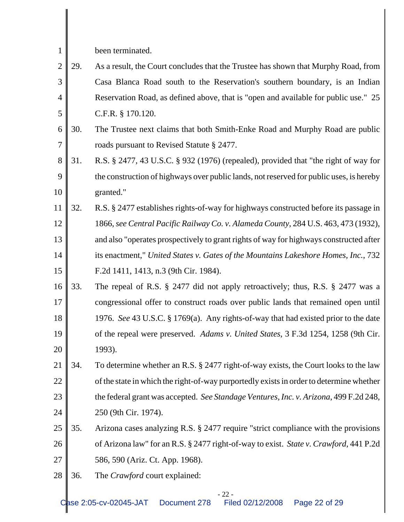been terminated.

- 2 3 4 5 29. As a result, the Court concludes that the Trustee has shown that Murphy Road, from Casa Blanca Road south to the Reservation's southern boundary, is an Indian Reservation Road, as defined above, that is "open and available for public use." 25 C.F.R. § 170.120.
- 6 7 30. The Trustee next claims that both Smith-Enke Road and Murphy Road are public roads pursuant to Revised Statute § 2477.
- 8 9 10 31. R.S. § 2477, 43 U.S.C. § 932 (1976) (repealed), provided that "the right of way for the construction of highways over public lands, not reserved for public uses, is hereby granted."
- 11 12 13 14 15 32. R.S. § 2477 establishes rights-of-way for highways constructed before its passage in 1866, *see Central Pacific Railway Co. v. Alameda County*, 284 U.S. 463, 473 (1932), and also "operates prospectively to grant rights of way for highways constructed after its enactment," *United States v. Gates of the Mountains Lakeshore Homes, Inc.*, 732 F.2d 1411, 1413, n.3 (9th Cir. 1984).
- 16 17 18 19 20 33. The repeal of R.S. § 2477 did not apply retroactively; thus, R.S. § 2477 was a congressional offer to construct roads over public lands that remained open until 1976. *See* 43 U.S.C. § 1769(a). Any rights-of-way that had existed prior to the date of the repeal were preserved. *Adams v. United States*, 3 F.3d 1254, 1258 (9th Cir. 1993).
- 21 22 23 24 34. To determine whether an R.S. § 2477 right-of-way exists, the Court looks to the law of the state in which the right-of-way purportedly exists in order to determine whether the federal grant was accepted. *See Standage Ventures, Inc. v. Arizona*, 499 F.2d 248, 250 (9th Cir. 1974).
- 25 26 27 35. Arizona cases analyzing R.S. § 2477 require "strict compliance with the provisions of Arizona law" for an R.S. § 2477 right-of-way to exist. *State v. Crawford*, 441 P.2d 586, 590 (Ariz. Ct. App. 1968).
- 28 36. The *Crawford* court explained: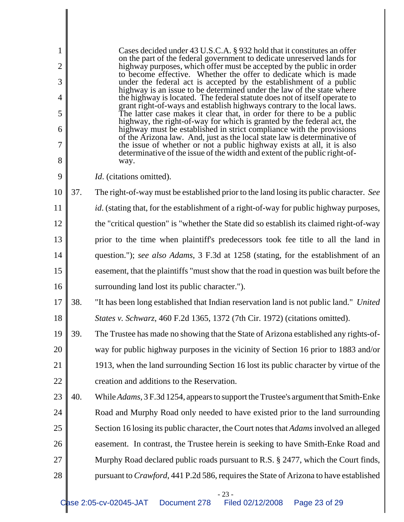| 1<br>$\overline{2}$<br>3<br>$\overline{4}$<br>5<br>6<br>7 | Cases decided under 43 U.S.C.A. § 932 hold that it constitutes an offer<br>on the part of the federal government to dedicate unreserved lands for<br>highway purposes, which offer must be accepted by the public in order<br>to become effective. Whether the offer to dedicate which is made<br>under the federal act is accepted by the establishment of a public<br>highway is an issue to be determined under the law of the state where<br>the highway is located. The federal statute does not of itself operate to<br>grant right-of-ways and establish highways contrary to the local laws.<br>The latter case makes it clear that, in order for there to be a public<br>highway, the right-of-way for which is granted by the federal act, the<br>highway must be established in strict compliance with the provisions<br>of the Arizona law. And, just as the local state law is determinative of<br>the issue of whether or not a public highway exists at all, it is also<br>determinative of the issue of the width and extent of the public right-of- |                                                                                                                            |  |  |  |
|-----------------------------------------------------------|----------------------------------------------------------------------------------------------------------------------------------------------------------------------------------------------------------------------------------------------------------------------------------------------------------------------------------------------------------------------------------------------------------------------------------------------------------------------------------------------------------------------------------------------------------------------------------------------------------------------------------------------------------------------------------------------------------------------------------------------------------------------------------------------------------------------------------------------------------------------------------------------------------------------------------------------------------------------------------------------------------------------------------------------------------------------|----------------------------------------------------------------------------------------------------------------------------|--|--|--|
| 8<br>9                                                    |                                                                                                                                                                                                                                                                                                                                                                                                                                                                                                                                                                                                                                                                                                                                                                                                                                                                                                                                                                                                                                                                      | way.                                                                                                                       |  |  |  |
| 10                                                        | 37.                                                                                                                                                                                                                                                                                                                                                                                                                                                                                                                                                                                                                                                                                                                                                                                                                                                                                                                                                                                                                                                                  | <i>Id.</i> (citations omitted).<br>The right-of-way must be established prior to the land losing its public character. See |  |  |  |
|                                                           |                                                                                                                                                                                                                                                                                                                                                                                                                                                                                                                                                                                                                                                                                                                                                                                                                                                                                                                                                                                                                                                                      |                                                                                                                            |  |  |  |
| 11                                                        |                                                                                                                                                                                                                                                                                                                                                                                                                                                                                                                                                                                                                                                                                                                                                                                                                                                                                                                                                                                                                                                                      | id. (stating that, for the establishment of a right-of-way for public highway purposes,                                    |  |  |  |
| 12                                                        | the "critical question" is "whether the State did so establish its claimed right-of-way                                                                                                                                                                                                                                                                                                                                                                                                                                                                                                                                                                                                                                                                                                                                                                                                                                                                                                                                                                              |                                                                                                                            |  |  |  |
| 13                                                        | prior to the time when plaintiff's predecessors took fee title to all the land in                                                                                                                                                                                                                                                                                                                                                                                                                                                                                                                                                                                                                                                                                                                                                                                                                                                                                                                                                                                    |                                                                                                                            |  |  |  |
| 14                                                        |                                                                                                                                                                                                                                                                                                                                                                                                                                                                                                                                                                                                                                                                                                                                                                                                                                                                                                                                                                                                                                                                      | question."); see also Adams, 3 F.3d at 1258 (stating, for the establishment of an                                          |  |  |  |
| 15                                                        |                                                                                                                                                                                                                                                                                                                                                                                                                                                                                                                                                                                                                                                                                                                                                                                                                                                                                                                                                                                                                                                                      | easement, that the plaintiffs "must show that the road in question was built before the                                    |  |  |  |
| 16                                                        |                                                                                                                                                                                                                                                                                                                                                                                                                                                                                                                                                                                                                                                                                                                                                                                                                                                                                                                                                                                                                                                                      | surrounding land lost its public character.").                                                                             |  |  |  |
| 17                                                        | 38.                                                                                                                                                                                                                                                                                                                                                                                                                                                                                                                                                                                                                                                                                                                                                                                                                                                                                                                                                                                                                                                                  | "It has been long established that Indian reservation land is not public land." United                                     |  |  |  |
| 18                                                        |                                                                                                                                                                                                                                                                                                                                                                                                                                                                                                                                                                                                                                                                                                                                                                                                                                                                                                                                                                                                                                                                      | States v. Schwarz, 460 F.2d 1365, 1372 (7th Cir. 1972) (citations omitted).                                                |  |  |  |
| 19                                                        | 39.                                                                                                                                                                                                                                                                                                                                                                                                                                                                                                                                                                                                                                                                                                                                                                                                                                                                                                                                                                                                                                                                  | The Trustee has made no showing that the State of Arizona established any rights-of-                                       |  |  |  |
| 20                                                        |                                                                                                                                                                                                                                                                                                                                                                                                                                                                                                                                                                                                                                                                                                                                                                                                                                                                                                                                                                                                                                                                      | way for public highway purposes in the vicinity of Section 16 prior to 1883 and/or                                         |  |  |  |
| 21                                                        |                                                                                                                                                                                                                                                                                                                                                                                                                                                                                                                                                                                                                                                                                                                                                                                                                                                                                                                                                                                                                                                                      | 1913, when the land surrounding Section 16 lost its public character by virtue of the                                      |  |  |  |
| 22                                                        |                                                                                                                                                                                                                                                                                                                                                                                                                                                                                                                                                                                                                                                                                                                                                                                                                                                                                                                                                                                                                                                                      | creation and additions to the Reservation.                                                                                 |  |  |  |
| 23                                                        | 40.                                                                                                                                                                                                                                                                                                                                                                                                                                                                                                                                                                                                                                                                                                                                                                                                                                                                                                                                                                                                                                                                  | While Adams, 3 F.3d 1254, appears to support the Trustee's argument that Smith-Enke                                        |  |  |  |
| 24                                                        |                                                                                                                                                                                                                                                                                                                                                                                                                                                                                                                                                                                                                                                                                                                                                                                                                                                                                                                                                                                                                                                                      | Road and Murphy Road only needed to have existed prior to the land surrounding                                             |  |  |  |
| 25                                                        |                                                                                                                                                                                                                                                                                                                                                                                                                                                                                                                                                                                                                                                                                                                                                                                                                                                                                                                                                                                                                                                                      | Section 16 losing its public character, the Court notes that Adams involved an alleged                                     |  |  |  |
| 26                                                        |                                                                                                                                                                                                                                                                                                                                                                                                                                                                                                                                                                                                                                                                                                                                                                                                                                                                                                                                                                                                                                                                      | easement. In contrast, the Trustee herein is seeking to have Smith-Enke Road and                                           |  |  |  |
| 27                                                        |                                                                                                                                                                                                                                                                                                                                                                                                                                                                                                                                                                                                                                                                                                                                                                                                                                                                                                                                                                                                                                                                      | Murphy Road declared public roads pursuant to R.S. § 2477, which the Court finds,                                          |  |  |  |
| 28                                                        |                                                                                                                                                                                                                                                                                                                                                                                                                                                                                                                                                                                                                                                                                                                                                                                                                                                                                                                                                                                                                                                                      | pursuant to <i>Crawford</i> , 441 P.2d 586, requires the State of Arizona to have established                              |  |  |  |
|                                                           |                                                                                                                                                                                                                                                                                                                                                                                                                                                                                                                                                                                                                                                                                                                                                                                                                                                                                                                                                                                                                                                                      |                                                                                                                            |  |  |  |

- 23 -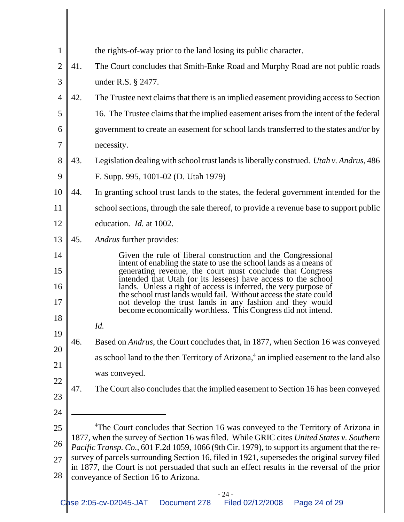| $\mathbf{1}$   | the rights-of-way prior to the land losing its public character.                                                                                                                                |                                                                                                                                                                                                |  |  |  |  |
|----------------|-------------------------------------------------------------------------------------------------------------------------------------------------------------------------------------------------|------------------------------------------------------------------------------------------------------------------------------------------------------------------------------------------------|--|--|--|--|
| $\overline{2}$ | 41.<br>The Court concludes that Smith-Enke Road and Murphy Road are not public roads                                                                                                            |                                                                                                                                                                                                |  |  |  |  |
| 3              | under R.S. § 2477.                                                                                                                                                                              |                                                                                                                                                                                                |  |  |  |  |
| $\overline{4}$ | 42.<br>The Trustee next claims that there is an implied easement providing access to Section                                                                                                    |                                                                                                                                                                                                |  |  |  |  |
| 5              |                                                                                                                                                                                                 | 16. The Trustee claims that the implied easement arises from the intent of the federal                                                                                                         |  |  |  |  |
| 6              | government to create an easement for school lands transferred to the states and/or by                                                                                                           |                                                                                                                                                                                                |  |  |  |  |
| 7              |                                                                                                                                                                                                 | necessity.                                                                                                                                                                                     |  |  |  |  |
| 8              | 43.                                                                                                                                                                                             | Legislation dealing with school trust lands is liberally construed. <i>Utah v. Andrus</i> , 486                                                                                                |  |  |  |  |
| 9              |                                                                                                                                                                                                 | F. Supp. 995, 1001-02 (D. Utah 1979)                                                                                                                                                           |  |  |  |  |
| 10             | 44.                                                                                                                                                                                             | In granting school trust lands to the states, the federal government intended for the                                                                                                          |  |  |  |  |
| 11             |                                                                                                                                                                                                 | school sections, through the sale thereof, to provide a revenue base to support public                                                                                                         |  |  |  |  |
| 12             |                                                                                                                                                                                                 | education. <i>Id.</i> at 1002.                                                                                                                                                                 |  |  |  |  |
| 13             | 45.                                                                                                                                                                                             | <i>Andrus</i> further provides:                                                                                                                                                                |  |  |  |  |
| 14             |                                                                                                                                                                                                 | Given the rule of liberal construction and the Congressional<br>intent of enabling the state to use the school lands as a means of                                                             |  |  |  |  |
| 15<br>16       |                                                                                                                                                                                                 | generating revenue, the court must conclude that Congress<br>intended that Utah (or its lessees) have access to the school<br>lands. Unless a right of access is inferred, the very purpose of |  |  |  |  |
| 17             |                                                                                                                                                                                                 | the school trust lands would fail. Without access the state could<br>not develop the trust lands in any fashion and they would<br>become economically worthless. This Congress did not intend. |  |  |  |  |
| 18             |                                                                                                                                                                                                 | Id.                                                                                                                                                                                            |  |  |  |  |
| 19             | 46.                                                                                                                                                                                             | Based on <i>Andrus</i> , the Court concludes that, in 1877, when Section 16 was conveyed                                                                                                       |  |  |  |  |
| 20             |                                                                                                                                                                                                 | as school land to the then Territory of Arizona, <sup>4</sup> an implied easement to the land also                                                                                             |  |  |  |  |
| 21             |                                                                                                                                                                                                 | was conveyed.                                                                                                                                                                                  |  |  |  |  |
| 22             | 47.                                                                                                                                                                                             | The Court also concludes that the implied easement to Section 16 has been conveyed                                                                                                             |  |  |  |  |
| 23             |                                                                                                                                                                                                 |                                                                                                                                                                                                |  |  |  |  |
| 24             |                                                                                                                                                                                                 |                                                                                                                                                                                                |  |  |  |  |
| 25             |                                                                                                                                                                                                 | <sup>4</sup> The Court concludes that Section 16 was conveyed to the Territory of Arizona in<br>1877, when the survey of Section 16 was filed. While GRIC cites United States v. Southern      |  |  |  |  |
| 26             | Pacific Transp. Co., 601 F.2d 1059, 1066 (9th Cir. 1979), to support its argument that the re-<br>survey of parcels surrounding Section 16, filed in 1921, supersedes the original survey filed |                                                                                                                                                                                                |  |  |  |  |
| 27             |                                                                                                                                                                                                 | in 1877, the Court is not persuaded that such an effect results in the reversal of the prior                                                                                                   |  |  |  |  |
| 28             |                                                                                                                                                                                                 | conveyance of Section 16 to Arizona.                                                                                                                                                           |  |  |  |  |
|                |                                                                                                                                                                                                 | $-24-$                                                                                                                                                                                         |  |  |  |  |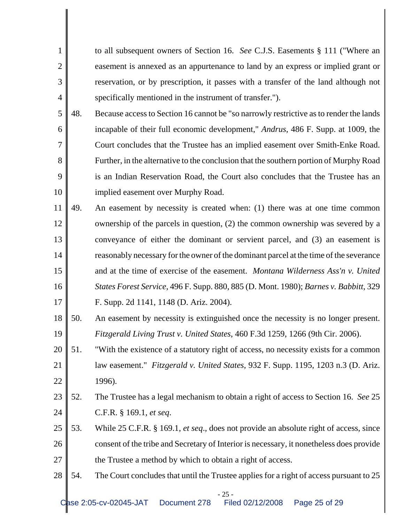to all subsequent owners of Section 16. *See* C.J.S. Easements § 111 ("Where an easement is annexed as an appurtenance to land by an express or implied grant or reservation, or by prescription, it passes with a transfer of the land although not specifically mentioned in the instrument of transfer.").

1

2

3

- 5 6 7 8 9 10 48. Because access to Section 16 cannot be "so narrowly restrictive as to render the lands incapable of their full economic development," *Andrus*, 486 F. Supp. at 1009, the Court concludes that the Trustee has an implied easement over Smith-Enke Road. Further, in the alternative to the conclusion that the southern portion of Murphy Road is an Indian Reservation Road, the Court also concludes that the Trustee has an implied easement over Murphy Road.
- 11 12 13 14 15 16 17 49. An easement by necessity is created when: (1) there was at one time common ownership of the parcels in question, (2) the common ownership was severed by a conveyance of either the dominant or servient parcel, and (3) an easement is reasonably necessary for the owner of the dominant parcel at the time of the severance and at the time of exercise of the easement. *Montana Wilderness Ass'n v. United States Forest Service*, 496 F. Supp. 880, 885 (D. Mont. 1980); *Barnes v. Babbitt*, 329 F. Supp. 2d 1141, 1148 (D. Ariz. 2004).
- 18 19 50. An easement by necessity is extinguished once the necessity is no longer present. *Fitzgerald Living Trust v. United States*, 460 F.3d 1259, 1266 (9th Cir. 2006).
- 20 21 22 51. "With the existence of a statutory right of access, no necessity exists for a common law easement." *Fitzgerald v. United States*, 932 F. Supp. 1195, 1203 n.3 (D. Ariz. 1996).
- 23 24 52. The Trustee has a legal mechanism to obtain a right of access to Section 16. *See* 25 C.F.R. § 169.1, *et seq*.
- 25 26 27 53. While 25 C.F.R. § 169.1, *et seq*., does not provide an absolute right of access, since consent of the tribe and Secretary of Interior is necessary, it nonetheless does provide the Trustee a method by which to obtain a right of access.
- 28 54. The Court concludes that until the Trustee applies for a right of access pursuant to 25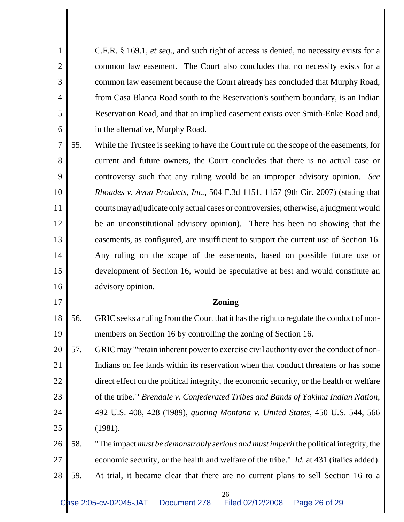C.F.R. § 169.1, *et seq*., and such right of access is denied, no necessity exists for a common law easement. The Court also concludes that no necessity exists for a common law easement because the Court already has concluded that Murphy Road, from Casa Blanca Road south to the Reservation's southern boundary, is an Indian Reservation Road, and that an implied easement exists over Smith-Enke Road and, in the alternative, Murphy Road.

1

2

3

4

5

6

17

7 8 9 10 11 12 13 14 15 16 55. While the Trustee is seeking to have the Court rule on the scope of the easements, for current and future owners, the Court concludes that there is no actual case or controversy such that any ruling would be an improper advisory opinion. *See Rhoades v. Avon Products, Inc.*, 504 F.3d 1151, 1157 (9th Cir. 2007) (stating that courts may adjudicate only actual cases or controversies; otherwise, a judgment would be an unconstitutional advisory opinion). There has been no showing that the easements, as configured, are insufficient to support the current use of Section 16. Any ruling on the scope of the easements, based on possible future use or development of Section 16, would be speculative at best and would constitute an advisory opinion.

## **Zoning**

18 19 56. GRIC seeks a ruling from the Court that it has the right to regulate the conduct of nonmembers on Section 16 by controlling the zoning of Section 16.

20 21 22 23 24 25 57. GRIC may "'retain inherent power to exercise civil authority over the conduct of non-Indians on fee lands within its reservation when that conduct threatens or has some direct effect on the political integrity, the economic security, or the health or welfare of the tribe.'" *Brendale v. Confederated Tribes and Bands of Yakima Indian Nation*, 492 U.S. 408, 428 (1989), *quoting Montana v. United States*, 450 U.S. 544, 566 (1981).

26 27 28 58. "The impact *must be demonstrably serious and must imperil* the political integrity, the economic security, or the health and welfare of the tribe." *Id.* at 431 (italics added). 59. At trial, it became clear that there are no current plans to sell Section 16 to a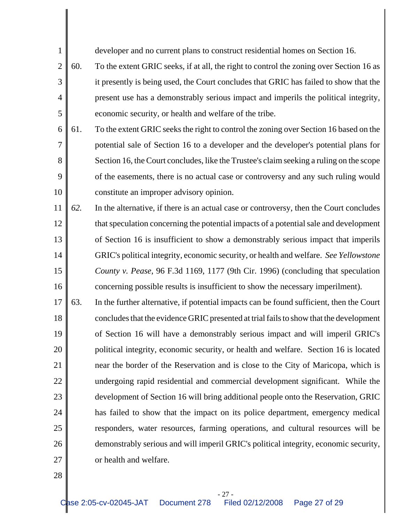developer and no current plans to construct residential homes on Section 16.

- 2 3 4 5 60. To the extent GRIC seeks, if at all, the right to control the zoning over Section 16 as it presently is being used, the Court concludes that GRIC has failed to show that the present use has a demonstrably serious impact and imperils the political integrity, economic security, or health and welfare of the tribe.
- 6 7 8 9 10 61. To the extent GRIC seeks the right to control the zoning over Section 16 based on the potential sale of Section 16 to a developer and the developer's potential plans for Section 16, the Court concludes, like the Trustee's claim seeking a ruling on the scope of the easements, there is no actual case or controversy and any such ruling would constitute an improper advisory opinion.
- 11 12 13 14 15 16 *62.* In the alternative, if there is an actual case or controversy, then the Court concludes that speculation concerning the potential impacts of a potential sale and development of Section 16 is insufficient to show a demonstrably serious impact that imperils GRIC's political integrity, economic security, or health and welfare. *See Yellowstone County v. Pease*, 96 F.3d 1169, 1177 (9th Cir. 1996) (concluding that speculation concerning possible results is insufficient to show the necessary imperilment).
- 17 18 19 20 21 22 23 24 25 26 27 63. In the further alternative, if potential impacts can be found sufficient, then the Court concludes that the evidence GRIC presented at trial fails to show that the development of Section 16 will have a demonstrably serious impact and will imperil GRIC's political integrity, economic security, or health and welfare. Section 16 is located near the border of the Reservation and is close to the City of Maricopa, which is undergoing rapid residential and commercial development significant. While the development of Section 16 will bring additional people onto the Reservation, GRIC has failed to show that the impact on its police department, emergency medical responders, water resources, farming operations, and cultural resources will be demonstrably serious and will imperil GRIC's political integrity, economic security, or health and welfare.
- 28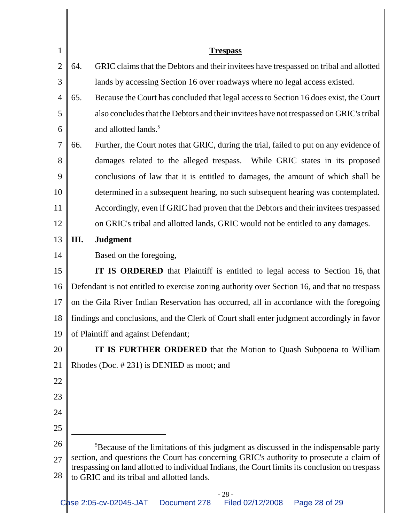| 1              |                                                                                                                                                                                             | <b>Trespass</b>                                                                                  |  |  |  |
|----------------|---------------------------------------------------------------------------------------------------------------------------------------------------------------------------------------------|--------------------------------------------------------------------------------------------------|--|--|--|
| $\overline{2}$ | 64.                                                                                                                                                                                         | GRIC claims that the Debtors and their invitees have trespassed on tribal and allotted           |  |  |  |
| 3              | lands by accessing Section 16 over roadways where no legal access existed.                                                                                                                  |                                                                                                  |  |  |  |
| 4              | Because the Court has concluded that legal access to Section 16 does exist, the Court<br>65.                                                                                                |                                                                                                  |  |  |  |
| 5              |                                                                                                                                                                                             | also concludes that the Debtors and their invitees have not trespassed on GRIC's tribal          |  |  |  |
| 6              |                                                                                                                                                                                             | and allotted lands. <sup>5</sup>                                                                 |  |  |  |
| 7              | 66.                                                                                                                                                                                         | Further, the Court notes that GRIC, during the trial, failed to put on any evidence of           |  |  |  |
| 8              |                                                                                                                                                                                             | damages related to the alleged trespass. While GRIC states in its proposed                       |  |  |  |
| 9              |                                                                                                                                                                                             | conclusions of law that it is entitled to damages, the amount of which shall be                  |  |  |  |
| 10             |                                                                                                                                                                                             | determined in a subsequent hearing, no such subsequent hearing was contemplated.                 |  |  |  |
| 11             |                                                                                                                                                                                             | Accordingly, even if GRIC had proven that the Debtors and their invitees trespassed              |  |  |  |
| 12             |                                                                                                                                                                                             | on GRIC's tribal and allotted lands, GRIC would not be entitled to any damages.                  |  |  |  |
| 13             | Ш.                                                                                                                                                                                          | <b>Judgment</b>                                                                                  |  |  |  |
| 14             |                                                                                                                                                                                             | Based on the foregoing,                                                                          |  |  |  |
| 15             |                                                                                                                                                                                             | IT IS ORDERED that Plaintiff is entitled to legal access to Section 16, that                     |  |  |  |
| 16             |                                                                                                                                                                                             | Defendant is not entitled to exercise zoning authority over Section 16, and that no trespass     |  |  |  |
| 17             | on the Gila River Indian Reservation has occurred, all in accordance with the foregoing                                                                                                     |                                                                                                  |  |  |  |
| 18             | findings and conclusions, and the Clerk of Court shall enter judgment accordingly in favor                                                                                                  |                                                                                                  |  |  |  |
| 19             | of Plaintiff and against Defendant;                                                                                                                                                         |                                                                                                  |  |  |  |
| 20             | IT IS FURTHER ORDERED that the Motion to Quash Subpoena to William                                                                                                                          |                                                                                                  |  |  |  |
| 21             | Rhodes (Doc. #231) is DENIED as moot; and                                                                                                                                                   |                                                                                                  |  |  |  |
| 22             |                                                                                                                                                                                             |                                                                                                  |  |  |  |
| 23             |                                                                                                                                                                                             |                                                                                                  |  |  |  |
| 24             |                                                                                                                                                                                             |                                                                                                  |  |  |  |
| 25             |                                                                                                                                                                                             |                                                                                                  |  |  |  |
| 26             |                                                                                                                                                                                             | <sup>5</sup> Because of the limitations of this judgment as discussed in the indispensable party |  |  |  |
| 27             | section, and questions the Court has concerning GRIC's authority to prosecute a claim of<br>trespassing on land allotted to individual Indians, the Court limits its conclusion on trespass |                                                                                                  |  |  |  |
| 28             |                                                                                                                                                                                             | to GRIC and its tribal and allotted lands.                                                       |  |  |  |